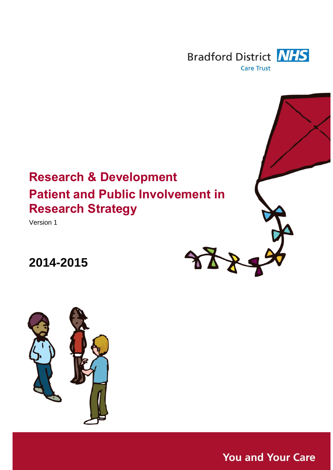

# **Research & Development Patient and Public Involvement in Research Strategy**

Version 1

# **2014-2015**





**You and Your Care**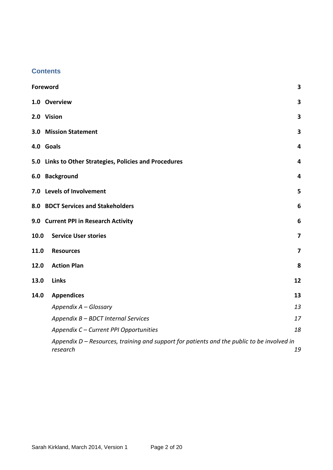## **Contents**

|      | Foreword                                                                                               | 3                       |  |  |  |
|------|--------------------------------------------------------------------------------------------------------|-------------------------|--|--|--|
|      | 1.0 Overview                                                                                           | 3                       |  |  |  |
|      | 2.0 Vision                                                                                             | 3                       |  |  |  |
|      | <b>3.0 Mission Statement</b>                                                                           | 3                       |  |  |  |
|      | 4.0 Goals                                                                                              | 4                       |  |  |  |
|      | 5.0 Links to Other Strategies, Policies and Procedures                                                 | 4                       |  |  |  |
|      | 6.0 Background                                                                                         | 4                       |  |  |  |
|      | 7.0 Levels of Involvement                                                                              | 5                       |  |  |  |
|      | 8.0 BDCT Services and Stakeholders<br>6                                                                |                         |  |  |  |
|      | 9.0 Current PPI in Research Activity                                                                   | 6                       |  |  |  |
| 10.0 | <b>Service User stories</b>                                                                            | $\overline{\mathbf{z}}$ |  |  |  |
| 11.0 | <b>Resources</b>                                                                                       | $\overline{\mathbf{z}}$ |  |  |  |
| 12.0 | <b>Action Plan</b>                                                                                     | 8                       |  |  |  |
| 13.0 | <b>Links</b>                                                                                           | 12                      |  |  |  |
| 14.0 | <b>Appendices</b>                                                                                      | 13                      |  |  |  |
|      | Appendix A - Glossary                                                                                  | 13                      |  |  |  |
|      | Appendix B - BDCT Internal Services                                                                    | 17                      |  |  |  |
|      | Appendix C - Current PPI Opportunities                                                                 | 18                      |  |  |  |
|      | Appendix D - Resources, training and support for patients and the public to be involved in<br>research | 19                      |  |  |  |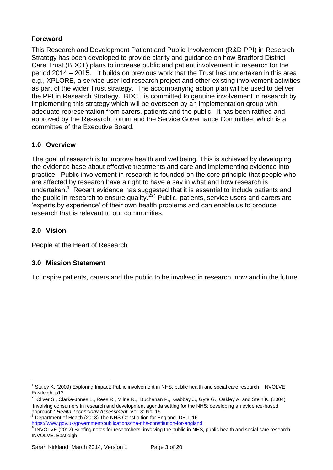# <span id="page-2-0"></span>**Foreword**

This Research and Development Patient and Public Involvement (R&D PPI) in Research Strategy has been developed to provide clarity and guidance on how Bradford District Care Trust (BDCT) plans to increase public and patient involvement in research for the period 2014 – 2015. It builds on previous work that the Trust has undertaken in this area e.g., XPLORE, a service user led research project and other existing involvement activities as part of the wider Trust strategy. The accompanying action plan will be used to deliver the PPI in Research Strategy. BDCT is committed to genuine involvement in research by implementing this strategy which will be overseen by an implementation group with adequate representation from carers, patients and the public. It has been ratified and approved by the Research Forum and the Service Governance Committee, which is a committee of the Executive Board.

# <span id="page-2-1"></span>**1.0 Overview**

The goal of research is to improve health and wellbeing. This is achieved by developing the evidence base about effective treatments and care and implementing evidence into practice. Public involvement in research is founded on the core principle that people who are affected by research have a right to have a say in what and how research is undertaken. $1$  Recent evidence has suggested that it is essential to include patients and the public in research to ensure quality.<sup>234</sup> Public, patients, service users and carers are 'experts by experience' of their own health problems and can enable us to produce research that is relevant to our communities.

# <span id="page-2-2"></span>**2.0 Vision**

1

<span id="page-2-3"></span>People at the Heart of Research

# **3.0 Mission Statement**

To inspire patients, carers and the public to be involved in research, now and in the future.

<sup>3</sup> Department of Health (2013) The NHS Constitution for England. DH 1-16

<https://www.gov.uk/government/publications/the-nhs-constitution-for-england><br>4 JNVOLVE (2013) Priofing pateo for researchers: involving the public in NHS

<sup>1</sup> Staley K. (2009) Exploring Impact: Public involvement in NHS, public health and social care research. INVOLVE, Eastleigh, p12

<sup>2</sup> Oliver S., Clarke-Jones L., Rees R., Milne R., Buchanan P., Gabbay J., Gyte G., Oakley A. and Stein K. (2004) 'Involving consumers in research and development agenda setting for the NHS: developing an evidence-based approach.' *Health Technology Assessment*; Vol. 8: No. 15

INVOLVE (2012) Briefing notes for researchers: involving the public in NHS, public health and social care research. INVOLVE, Eastleigh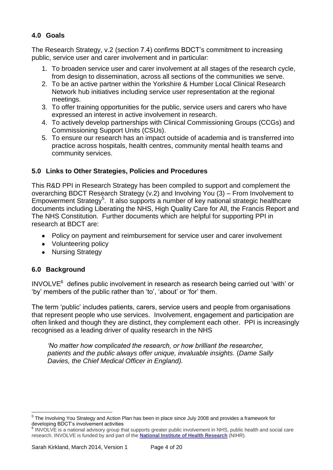# <span id="page-3-0"></span>**4.0 Goals**

The Research Strategy, v.2 (section 7.4) confirms BDCT's commitment to increasing public, service user and carer involvement and in particular:

- 1. To broaden service user and carer involvement at all stages of the research cycle, from design to dissemination, across all sections of the communities we serve.
- 2. To be an active partner within the Yorkshire & Humber Local Clinical Research Network hub initiatives including service user representation at the regional meetings.
- 3. To offer training opportunities for the public, service users and carers who have expressed an interest in active involvement in research.
- 4. To actively develop partnerships with Clinical Commissioning Groups (CCGs) and Commissioning Support Units (CSUs).
- 5. To ensure our research has an impact outside of academia and is transferred into practice across hospitals, health centres, community mental health teams and community services.

# <span id="page-3-1"></span>**5.0 Links to Other Strategies, Policies and Procedures**

This R&D PPI in Research Strategy has been compiled to support and complement the overarching BDCT Research Strategy (v.2) and Involving You (3) – From Involvement to Empowerment Strategy<sup>5</sup>. It also supports a number of key national strategic healthcare documents including Liberating the NHS, High Quality Care for All, the Francis Report and The NHS Constitution. Further documents which are helpful for supporting PPI in research at BDCT are:

- Policy on payment and reimbursement for service user and carer involvement
- Volunteering policy
- Nursing Strategy

# <span id="page-3-2"></span>**6.0 Background**

INVOLVE<sup>6</sup> defines public involvement in research as research being carried out 'with' or 'by' members of the public rather than 'to', 'about' or 'for' them.

The term 'public' includes patients, carers, service users and people from organisations that represent people who use services. Involvement, engagement and participation are often linked and though they are distinct, they complement each other. PPI is increasingly recognised as a leading driver of quality research in the NHS

*'No matter how complicated the research, or how brilliant the researcher, patients and the public always offer unique, invaluable insights.* (*Dame Sally Davies, the Chief Medical Officer in England).*

<sup>1</sup> <sup>5</sup> The Involving You Strategy and Action Plan has been in place since July 2008 and provides a framework for developing BDCT's involvement activities

<sup>&</sup>lt;sup>6</sup> INVOLVE is a national advisory group that supports greater public involvement in NHS, public health and social care research. INVOLVE is funded by and part of the **National Institute of Health [Research](http://www.nihr.ac.uk/)** (NIHR).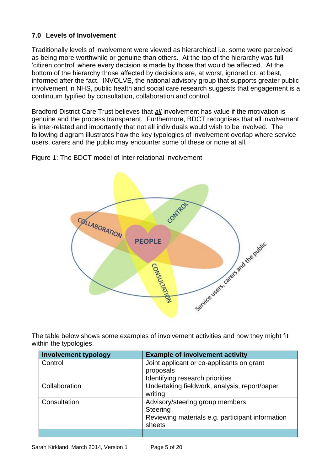# <span id="page-4-0"></span>**7.0 Levels of Involvement**

Traditionally levels of involvement were viewed as hierarchical i.e. some were perceived as being more worthwhile or genuine than others. At the top of the hierarchy was full 'citizen control' where every decision is made by those that would be affected. At the bottom of the hierarchy those affected by decisions are, at worst, ignored or, at best, informed after the fact. INVOLVE, the national advisory group that supports greater public involvement in NHS, public health and social care research suggests that engagement is a continuum typified by consultation, collaboration and control.

Bradford District Care Trust believes that *all* involvement has value if the motivation is genuine and the process transparent. Furthermore, BDCT recognises that all involvement is inter-related and importantly that not all individuals would wish to be involved. The following diagram illustrates how the key typologies of involvement overlap where service users, carers and the public may encounter some of these or none at all.

Figure 1: The BDCT model of Inter-relational Involvement



The table below shows some examples of involvement activities and how they might fit within the typologies.

| <b>Involvement typology</b> | <b>Example of involvement activity</b>           |
|-----------------------------|--------------------------------------------------|
| Control                     | Joint applicant or co-applicants on grant        |
|                             | proposals                                        |
|                             | Identifying research priorities                  |
| Collaboration               | Undertaking fieldwork, analysis, report/paper    |
|                             | writing                                          |
| Consultation                | Advisory/steering group members                  |
|                             | <b>Steering</b>                                  |
|                             | Reviewing materials e.g. participant information |
|                             | sheets                                           |
|                             |                                                  |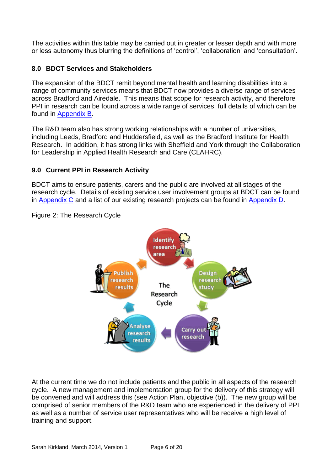The activities within this table may be carried out in greater or lesser depth and with more or less autonomy thus blurring the definitions of 'control', 'collaboration' and 'consultation'.

# <span id="page-5-0"></span>**8.0 BDCT Services and Stakeholders**

The expansion of the BDCT remit beyond mental health and learning disabilities into a range of community services means that BDCT now provides a diverse range of services across Bradford and Airedale. This means that scope for research activity, and therefore PPI in research can be found across a wide range of services, full details of which can be found in [Appendix B.](#page-16-0)

The R&D team also has strong working relationships with a number of universities, including Leeds, Bradford and Huddersfield, as well as the Bradford Institute for Health Research. In addition, it has strong links with Sheffield and York through the Collaboration for Leadership in Applied Health Research and Care (CLAHRC).

# <span id="page-5-1"></span>**9.0 Current PPI in Research Activity**

BDCT aims to ensure patients, carers and the public are involved at all stages of the research cycle. Details of existing service user involvement groups at BDCT can be found in [Appendix C](#page-17-0) and a list of our existing research projects can be found in [Appendix D.](#page-18-0)

# Figure 2: The Research Cycle



At the current time we do not include patients and the public in all aspects of the research cycle. A new management and implementation group for the delivery of this strategy will be convened and will address this (see Action Plan, objective (b)). The new group will be comprised of senior members of the R&D team who are experienced in the delivery of PPI as well as a number of service user representatives who will be receive a high level of training and support.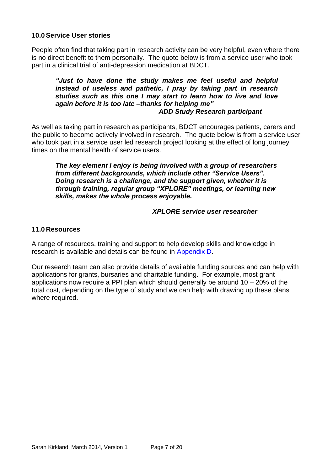## <span id="page-6-0"></span>**10.0 Service User stories**

People often find that taking part in research activity can be very helpful, even where there is no direct benefit to them personally. The quote below is from a service user who took part in a clinical trial of anti-depression medication at BDCT.

## *"Just to have done the study makes me feel useful and helpful instead of useless and pathetic, I pray by taking part in research studies such as this one I may start to learn how to live and love again before it is too late –thanks for helping me" ADD Study Research participant*

As well as taking part in research as participants, BDCT encourages patients, carers and the public to become actively involved in research. The quote below is from a service user who took part in a service user led research project looking at the effect of long journey times on the mental health of service users.

*The key element I enjoy is being involved with a group of researchers from different backgrounds, which include other "Service Users". Doing research is a challenge, and the support given, whether it is through training, regular group "XPLORE" meetings, or learning new skills, makes the whole process enjoyable.*

## *XPLORE service user researcher*

## <span id="page-6-1"></span>**11.0 Resources**

A range of resources, training and support to help develop skills and knowledge in research is available and details can be found in [Appendix D.](#page-18-0)

Our research team can also provide details of available funding sources and can help with applications for grants, bursaries and charitable funding. For example, most grant applications now require a PPI plan which should generally be around 10 – 20% of the total cost, depending on the type of study and we can help with drawing up these plans where required.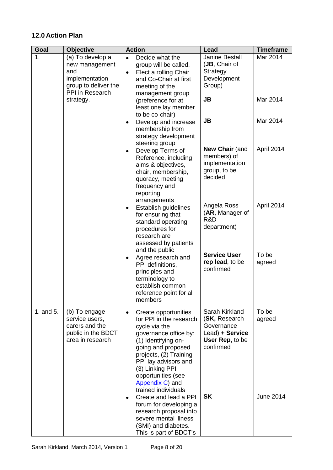# <span id="page-7-0"></span>**12.0 Action Plan**

| Goal      | <b>Objective</b>                                                                                                    | <b>Action</b>                                                                                                                                                                                                                                                                            | Lead                                                                                             | <b>Timeframe</b>     |
|-----------|---------------------------------------------------------------------------------------------------------------------|------------------------------------------------------------------------------------------------------------------------------------------------------------------------------------------------------------------------------------------------------------------------------------------|--------------------------------------------------------------------------------------------------|----------------------|
| 1.        | (a) To develop a<br>new management<br>and<br>implementation<br>group to deliver the<br>PPI in Research<br>strategy. | Decide what the<br>$\bullet$<br>group will be called.<br>Elect a rolling Chair<br>٠<br>and Co-Chair at first<br>meeting of the<br>management group<br>(preference for at                                                                                                                 | Janine Bestall<br>(JB, Chair of<br>Strategy<br>Development<br>Group)<br><b>JB</b>                | Mar 2014<br>Mar 2014 |
|           |                                                                                                                     | least one lay member<br>to be co-chair)<br>Develop and increase<br>٠<br>membership from<br>strategy development<br>steering group                                                                                                                                                        | JB                                                                                               | Mar 2014             |
|           |                                                                                                                     | Develop Terms of<br>٠<br>Reference, including<br>aims & objectives,<br>chair, membership,<br>quoracy, meeting<br>frequency and<br>reporting                                                                                                                                              | <b>New Chair (and</b><br>members) of<br>implementation<br>group, to be<br>decided                | April 2014           |
|           |                                                                                                                     | arrangements<br>Establish guidelines<br>٠<br>for ensuring that<br>standard operating<br>procedures for<br>research are<br>assessed by patients<br>and the public                                                                                                                         | Angela Ross<br>(AR, Manager of<br>R&D<br>department)                                             | April 2014           |
|           |                                                                                                                     | Agree research and<br>$\bullet$<br>PPI definitions,<br>principles and<br>terminology to<br>establish common<br>reference point for all<br>members                                                                                                                                        | <b>Service User</b><br>rep lead, to be<br>confirmed                                              | To be<br>agreed      |
| 1. and 5. | (b) To engage<br>service users,<br>carers and the<br>public in the BDCT<br>area in research                         | Create opportunities<br>$\bullet$<br>for PPI in the research<br>cycle via the<br>governance office by:<br>(1) Identifying on-<br>going and proposed<br>projects, (2) Training<br>PPI lay advisors and<br>(3) Linking PPI<br>opportunities (see<br>Appendix C) and<br>trained individuals | Sarah Kirkland<br>(SK, Research<br>Governance<br>Lead) + Service<br>User Rep, to be<br>confirmed | To be<br>agreed      |
|           |                                                                                                                     | Create and lead a PPI<br>٠<br>forum for developing a<br>research proposal into<br>severe mental illness<br>(SMI) and diabetes.<br>This is part of BDCT's                                                                                                                                 | <b>SK</b>                                                                                        | <b>June 2014</b>     |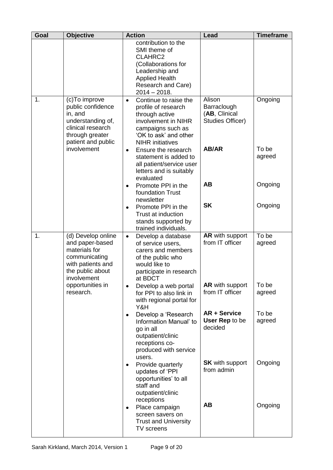| Goal | <b>Objective</b>                                                                                                                 | <b>Action</b>                                                                                                                                                               | Lead                                                       | <b>Timeframe</b> |
|------|----------------------------------------------------------------------------------------------------------------------------------|-----------------------------------------------------------------------------------------------------------------------------------------------------------------------------|------------------------------------------------------------|------------------|
|      |                                                                                                                                  | contribution to the<br>SMI theme of<br>CLAHRC2<br>(Collaborations for<br>Leadership and<br><b>Applied Health</b><br>Research and Care)<br>$2014 - 2018.$                    |                                                            |                  |
| 1.   | (c)To improve<br>public confidence<br>in, and<br>understanding of,<br>clinical research<br>through greater<br>patient and public | Continue to raise the<br>$\bullet$<br>profile of research<br>through active<br>involvement in NIHR<br>campaigns such as<br>'OK to ask' and other<br><b>NIHR</b> initiatives | Alison<br>Barraclough<br>(AB, Clinical<br>Studies Officer) | Ongoing          |
|      | involvement                                                                                                                      | Ensure the research<br>$\bullet$<br>statement is added to<br>all patient/service user<br>letters and is suitably<br>evaluated                                               | AB/AR                                                      | To be<br>agreed  |
|      |                                                                                                                                  | Promote PPI in the<br>$\bullet$<br>foundation Trust<br>newsletter                                                                                                           | <b>AB</b>                                                  | Ongoing          |
|      |                                                                                                                                  | Promote PPI in the<br>$\bullet$<br>Trust at induction<br>stands supported by<br>trained individuals.                                                                        | <b>SK</b>                                                  | Ongoing          |
| 1.   | (d) Develop online<br>and paper-based<br>materials for<br>communicating<br>with patients and<br>the public about<br>involvement  | Develop a database<br>$\bullet$<br>of service users,<br>carers and members<br>of the public who<br>would like to<br>participate in research<br>at BDCT                      | <b>AR</b> with support<br>from IT officer                  | To be<br>agreed  |
|      | opportunities in<br>research.                                                                                                    | Develop a web portal<br>$\bullet$<br>for PPI to also link in<br>with regional portal for<br>Y&H                                                                             | <b>AR</b> with support<br>from IT officer                  | To be<br>agreed  |
|      |                                                                                                                                  | Develop a 'Research<br>٠<br>Information Manual' to<br>go in all<br>outpatient/clinic<br>receptions co-<br>produced with service<br>users.                                   | <b>AR + Service</b><br>User Rep to be<br>decided           | To be<br>agreed  |
|      |                                                                                                                                  | Provide quarterly<br>٠<br>updates of 'PPI<br>opportunities' to all<br>staff and<br>outpatient/clinic                                                                        | <b>SK</b> with support<br>from admin                       | Ongoing          |
|      |                                                                                                                                  | receptions<br>Place campaign<br>$\bullet$<br>screen savers on<br><b>Trust and University</b><br>TV screens                                                                  | <b>AB</b>                                                  | Ongoing          |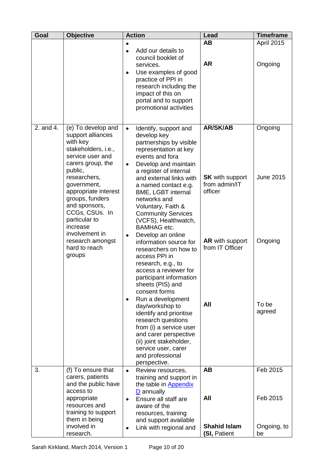| Goal      | <b>Objective</b>                                                                                                                                                                                                                                                                                                    | <b>Action</b>                                                                                                                                                                                                                                                                                                                                                                                                                                                                                                                                                           | Lead                                                                                            | <b>Timeframe</b>            |
|-----------|---------------------------------------------------------------------------------------------------------------------------------------------------------------------------------------------------------------------------------------------------------------------------------------------------------------------|-------------------------------------------------------------------------------------------------------------------------------------------------------------------------------------------------------------------------------------------------------------------------------------------------------------------------------------------------------------------------------------------------------------------------------------------------------------------------------------------------------------------------------------------------------------------------|-------------------------------------------------------------------------------------------------|-----------------------------|
|           |                                                                                                                                                                                                                                                                                                                     | ٠                                                                                                                                                                                                                                                                                                                                                                                                                                                                                                                                                                       | <b>AB</b>                                                                                       | <b>April 2015</b>           |
|           |                                                                                                                                                                                                                                                                                                                     | Add our details to<br>$\bullet$<br>council booklet of<br>services.<br>Use examples of good<br>$\bullet$<br>practice of PPI in<br>research including the<br>impact of this on<br>portal and to support<br>promotional activities                                                                                                                                                                                                                                                                                                                                         | <b>AR</b>                                                                                       | Ongoing                     |
| 2. and 4. | (e) To develop and                                                                                                                                                                                                                                                                                                  | Identify, support and<br>$\bullet$                                                                                                                                                                                                                                                                                                                                                                                                                                                                                                                                      | <b>AR/SK/AB</b>                                                                                 | Ongoing                     |
|           | support alliances<br>with key<br>stakeholders, i.e.,<br>service user and<br>carers group, the<br>public,<br>researchers,<br>government,<br>appropriate interest<br>groups, funders<br>and sponsors,<br>CCGs, CSUs. In<br>particular to<br>increase<br>involvement in<br>research amongst<br>hard to reach<br>groups | develop key<br>partnerships by visible<br>representation at key<br>events and fora<br>Develop and maintain<br>$\bullet$<br>a register of internal<br>and external links with<br>a named contact e.g.<br><b>BME, LGBT internal</b><br>networks and<br>Voluntary, Faith &<br><b>Community Services</b><br>(VCFS), Healthwatch,<br><b>BAMHAG</b> etc.<br>Develop an online<br>$\bullet$<br>information source for<br>researchers on how to<br>access PPI in<br>research, e.g., to<br>access a reviewer for<br>participant information<br>sheets (PIS) and<br>consent forms | <b>SK</b> with support<br>from admin/IT<br>officer<br><b>AR</b> with support<br>from IT Officer | <b>June 2015</b><br>Ongoing |
|           |                                                                                                                                                                                                                                                                                                                     | Run a development<br>٠<br>day/workshop to<br>identify and prioritise<br>research questions<br>from (i) a service user<br>and carer perspective<br>(ii) joint stakeholder,<br>service user, carer<br>and professional<br>perspective.                                                                                                                                                                                                                                                                                                                                    | All                                                                                             | To be<br>agreed             |
| 3.        | (f) To ensure that                                                                                                                                                                                                                                                                                                  | Review resources,<br>$\bullet$                                                                                                                                                                                                                                                                                                                                                                                                                                                                                                                                          | <b>AB</b>                                                                                       | Feb 2015                    |
|           | carers, patients                                                                                                                                                                                                                                                                                                    | training and support in                                                                                                                                                                                                                                                                                                                                                                                                                                                                                                                                                 |                                                                                                 |                             |
|           | and the public have<br>access to                                                                                                                                                                                                                                                                                    | the table in Appendix<br>$D$ annually                                                                                                                                                                                                                                                                                                                                                                                                                                                                                                                                   |                                                                                                 |                             |
|           | appropriate                                                                                                                                                                                                                                                                                                         | Ensure all staff are<br>$\bullet$                                                                                                                                                                                                                                                                                                                                                                                                                                                                                                                                       | All                                                                                             | Feb 2015                    |
|           | resources and                                                                                                                                                                                                                                                                                                       | aware of the                                                                                                                                                                                                                                                                                                                                                                                                                                                                                                                                                            |                                                                                                 |                             |
|           | training to support<br>them in being                                                                                                                                                                                                                                                                                | resources, training                                                                                                                                                                                                                                                                                                                                                                                                                                                                                                                                                     |                                                                                                 |                             |
|           | involved in                                                                                                                                                                                                                                                                                                         | and support available<br>Link with regional and<br>٠                                                                                                                                                                                                                                                                                                                                                                                                                                                                                                                    | <b>Shahid Islam</b>                                                                             | Ongoing, to                 |
|           | research.                                                                                                                                                                                                                                                                                                           |                                                                                                                                                                                                                                                                                                                                                                                                                                                                                                                                                                         | (SI, Patient                                                                                    | be                          |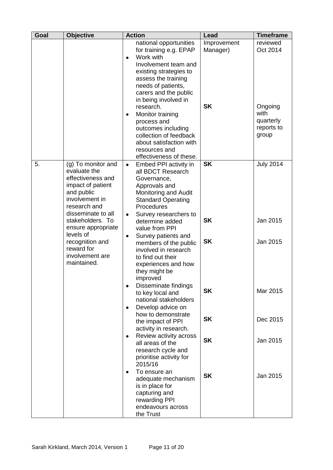| Goal | <b>Objective</b>                                                                                                                                   | <b>Action</b>                                                                                                                                                                                                              | Lead                    | <b>Timeframe</b>                                    |
|------|----------------------------------------------------------------------------------------------------------------------------------------------------|----------------------------------------------------------------------------------------------------------------------------------------------------------------------------------------------------------------------------|-------------------------|-----------------------------------------------------|
|      |                                                                                                                                                    | national opportunities<br>for training e.g. EPAP<br>Work with<br>$\bullet$<br>Involvement team and<br>existing strategies to<br>assess the training<br>needs of patients,<br>carers and the public<br>in being involved in | Improvement<br>Manager) | reviewed<br>Oct 2014                                |
|      |                                                                                                                                                    | research.<br>Monitor training<br>٠<br>process and<br>outcomes including<br>collection of feedback<br>about satisfaction with<br>resources and<br>effectiveness of these.                                                   | <b>SK</b>               | Ongoing<br>with<br>quarterly<br>reports to<br>group |
| 5.   | (g) To monitor and<br>evaluate the<br>effectiveness and<br>impact of patient<br>and public<br>involvement in<br>research and<br>disseminate to all | Embed PPI activity in<br>$\bullet$<br>all BDCT Research<br>Governance,<br>Approvals and<br>Monitoring and Audit<br><b>Standard Operating</b><br>Procedures                                                                 | <b>SK</b>               | <b>July 2014</b>                                    |
|      | stakeholders. To<br>ensure appropriate                                                                                                             | Survey researchers to<br>$\bullet$<br>determine added<br>value from PPI                                                                                                                                                    | <b>SK</b>               | Jan 2015                                            |
|      | levels of<br>recognition and<br>reward for<br>involvement are<br>maintained.                                                                       | Survey patients and<br>$\bullet$<br>members of the public<br>involved in research<br>to find out their<br>experiences and how<br>they might be<br>improved                                                                 | <b>SK</b>               | Jan 2015                                            |
|      |                                                                                                                                                    | Disseminate findings<br>٠<br>to key local and<br>national stakeholders<br>Develop advice on<br>٠                                                                                                                           | <b>SK</b>               | Mar 2015                                            |
|      |                                                                                                                                                    | how to demonstrate<br>the impact of PPI<br>activity in research.                                                                                                                                                           | <b>SK</b>               | Dec 2015                                            |
|      |                                                                                                                                                    | Review activity across<br>٠<br>all areas of the<br>research cycle and<br>prioritise activity for<br>2015/16                                                                                                                | <b>SK</b>               | Jan 2015                                            |
|      |                                                                                                                                                    | To ensure an<br>$\bullet$<br>adequate mechanism<br>is in place for<br>capturing and<br>rewarding PPI<br>endeavours across<br>the Trust                                                                                     | <b>SK</b>               | Jan 2015                                            |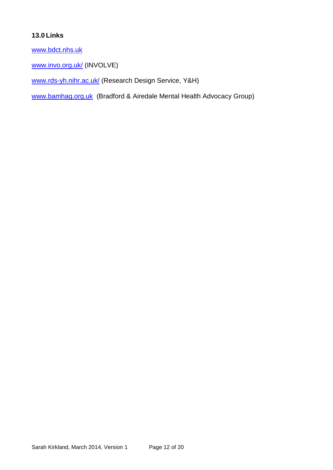# <span id="page-11-0"></span>**13.0 Links**

[www.bdct.nhs.uk](http://www.bdct.nhs.uk/)

[www.invo.org.uk/](http://www.invo.org.uk/) (INVOLVE)

[www.rds-yh.nihr.ac.uk/](http://www.rds-yh.nihr.ac.uk/) (Research Design Service, Y&H)

[www.bamhag.org.uk](http://www.bamhag.org.uk/) (Bradford & Airedale Mental Health Advocacy Group)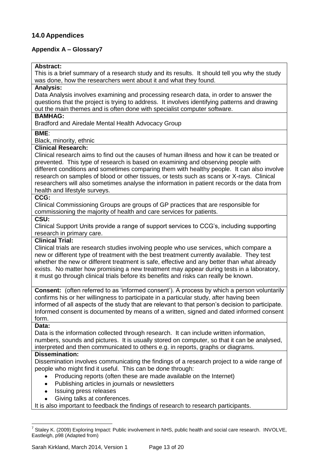## <span id="page-12-0"></span>**14.0 Appendices**

## <span id="page-12-1"></span>**Appendix A – Glossary7**

#### **Abstract:**

This is a brief summary of a research study and its results. It should tell you why the study was done, how the researchers went about it and what they found.

#### **Analysis:**

Data Analysis involves examining and processing research data, in order to answer the questions that the project is trying to address. It involves identifying patterns and drawing out the main themes and is often done with specialist computer software.

#### **BAMHAG:**

Bradford and Airedale Mental Health Advocacy Group

#### **BME**:

Black, minority, ethnic

#### **Clinical Research:**

Clinical research aims to find out the causes of human illness and how it can be treated or prevented. This type of research is based on examining and observing people with different conditions and sometimes comparing them with healthy people. It can also involve research on samples of blood or other tissues, or tests such as scans or X-rays. Clinical researchers will also sometimes analyse the information in patient records or the data from health and lifestyle surveys.

#### **CCG:**

Clinical Commissioning Groups are groups of GP practices that are responsible for commissioning the majority of health and care services for patients.

## **CSU:**

Clinical Support Units provide a range of support services to CCG's, including supporting research in primary care.

## **Clinical Trial:**

Clinical trials are research studies involving people who use services, which compare a new or different type of treatment with the best treatment currently available. They test whether the new or different treatment is safe, effective and any better than what already exists. No matter how promising a new treatment may appear during tests in a laboratory, it must go through clinical trials before its benefits and risks can really be known.

**Consent:** (often referred to as 'informed consent'). A process by which a person voluntarily confirms his or her willingness to participate in a particular study, after having been informed of all aspects of the study that are relevant to that person's decision to participate. Informed consent is documented by means of a written, signed and dated informed consent form.

#### **Data:**

1

Data is the information collected through research. It can include written information, numbers, sounds and pictures. It is usually stored on computer, so that it can be analysed, interpreted and then communicated to others e.g. in reports, graphs or diagrams.

#### **Dissemination:**

Dissemination involves communicating the findings of a research project to a wide range of people who might find it useful. This can be done through:

- Producing reports (often these are made available on the Internet)
- Publishing articles in journals or newsletters
- Issuing press releases
- Giving talks at conferences.

It is also important to feedback the findings of research to research participants.

<sup>7</sup> Staley K. (2009) Exploring Impact: Public involvement in NHS, public health and social care research. INVOLVE, Eastleigh, p98 (Adapted from)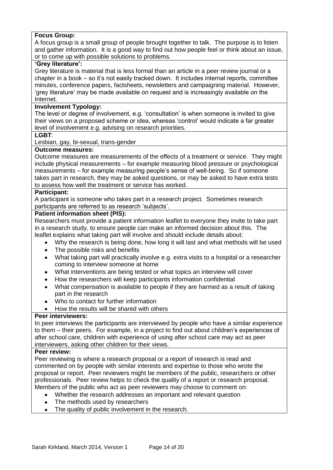## **Focus Group:**

A focus group is a small group of people brought together to talk. The purpose is to listen and gather information. It is a good way to find out how people feel or think about an issue, or to come up with possible solutions to problems.

#### **'Grey literature':**

Grey literature is material that is less formal than an article in a peer review journal or a chapter in a book – so it's not easily tracked down. It includes internal reports, committee minutes, conference papers, factsheets, newsletters and campaigning material. However, 'grey literature' may be made available on request and is increasingly available on the Internet.

## **Involvement Typology:**

The level or degree of involvement, e.g. 'consultation' is when someone is invited to give their views on a proposed scheme or idea, whereas 'control' would indicate a far greater level of involvement e.g. advising on research priorities.

**LGBT**:

Lesbian, gay, bi-sexual, trans-gender

#### **Outcome measures:**

Outcome measures are measurements of the effects of a treatment or service. They might include physical measurements – for example measuring blood pressure or psychological measurements – for example measuring people's sense of well-being. So if someone takes part in research, they may be asked questions, or may be asked to have extra tests to assess how well the treatment or service has worked.

#### **Participant:**

A participant is someone who takes part in a research project. Sometimes research participants are referred to as research 'subjects'.

#### **Patient information sheet (PIS):**

Researchers must provide a patient information leaflet to everyone they invite to take part in a research study, to ensure people can make an informed decision about this. The leaflet explains what taking part will involve and should include details about:

- Why the research is being done, how long it will last and what methods will be used  $\bullet$
- The possible risks and benefits
- What taking part will practically involve e.g. extra visits to a hospital or a researcher coming to interview someone at home
- What interventions are being tested or what topics an interview will cover
- How the researchers will keep participants information confidential
- What compensation is available to people if they are harmed as a result of taking part in the research
- Who to contact for further information
- How the results will be shared with others

#### **Peer interviewers:**

In peer interviews the participants are interviewed by people who have a similar experience to them – their peers. For example, in a project to find out about children's experiences of after school care, children with experience of using after school care may act as peer interviewers, asking other children for their views.

#### **Peer review:**

Peer reviewing is where a research proposal or a report of research is read and commented on by people with similar interests and expertise to those who wrote the proposal or report. Peer reviewers might be members of the public, researchers or other professionals. Peer review helps to check the quality of a report or research proposal. Members of the public who act as peer reviewers may choose to comment on:

- Whether the research addresses an important and relevant question
- The methods used by researchers
- The quality of public involvement in the research.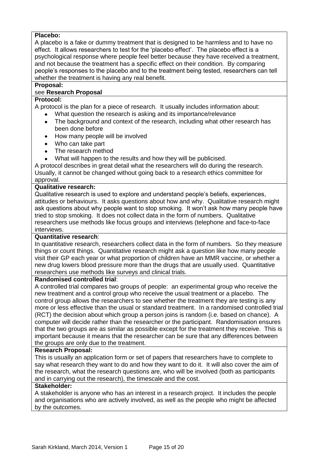## **Placebo:**

A placebo is a fake or dummy treatment that is designed to be harmless and to have no effect. It allows researchers to test for the 'placebo effect'. The placebo effect is a psychological response where people feel better because they have received a treatment, and not because the treatment has a specific effect on their condition. By comparing people's responses to the placebo and to the treatment being tested, researchers can tell whether the treatment is having any real benefit.

## **Proposal:**

## see **Research Proposal**

## **Protocol:**

A protocol is the plan for a piece of research. It usually includes information about:

- What question the research is asking and its importance/relevance
- The background and context of the research, including what other research has been done before
- How many people will be involved
- Who can take part
- The research method
- What will happen to the results and how they will be publicised.

A protocol describes in great detail what the researchers will do during the research. Usually, it cannot be changed without going back to a research ethics committee for approval.

## **Qualitative research:**

Qualitative research is used to explore and understand people's beliefs, experiences, attitudes or behaviours. It asks questions about how and why. Qualitative research might ask questions about why people want to stop smoking. It won't ask how many people have tried to stop smoking. It does not collect data in the form of numbers. Qualitative researchers use methods like focus groups and interviews (telephone and face-to-face interviews.

#### **Quantitative research**:

In quantitative research, researchers collect data in the form of numbers. So they measure things or count things. Quantitative research might ask a question like how many people visit their GP each year or what proportion of children have an MMR vaccine, or whether a new drug lowers blood pressure more than the drugs that are usually used. Quantitative researchers use methods like surveys and clinical trials.

#### **Randomised controlled trial**:

A controlled trial compares two groups of people: an experimental group who receive the new treatment and a control group who receive the usual treatment or a placebo. The control group allows the researchers to see whether the treatment they are testing is any more or less effective than the usual or standard treatment. In a randomised controlled trial (RCT) the decision about which group a person joins is random (i.e. based on chance). A computer will decide rather than the researcher or the participant. Randomisation ensures that the two groups are as similar as possible except for the treatment they receive. This is important because it means that the researcher can be sure that any differences between the groups are only due to the treatment.

## **Research Proposal:**

This is usually an application form or set of papers that researchers have to complete to say what research they want to do and how they want to do it. It will also cover the aim of the research, what the research questions are, who will be involved (both as participants and in carrying out the research), the timescale and the cost.

## **Stakeholder:**

A stakeholder is anyone who has an interest in a research project. It includes the people and organisations who are actively involved, as well as the people who might be affected by the outcomes.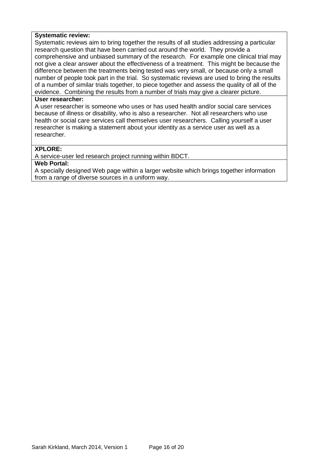#### **Systematic review:**

Systematic reviews aim to bring together the results of all studies addressing a particular research question that have been carried out around the world. They provide a comprehensive and unbiased summary of the research. For example one clinical trial may not give a clear answer about the effectiveness of a treatment. This might be because the difference between the treatments being tested was very small, or because only a small number of people took part in the trial. So systematic reviews are used to bring the results of a number of similar trials together, to piece together and assess the quality of all of the evidence. Combining the results from a number of trials may give a clearer picture.

#### **User researcher:**

A user researcher is someone who uses or has used health and/or social care services because of illness or disability, who is also a researcher. Not all researchers who use health or social care services call themselves user researchers. Calling yourself a user researcher is making a statement about your identity as a service user as well as a researcher.

## **XPLORE:**

A service-user led research project running within BDCT.

#### **Web Portal:**

A specially designed Web page within a larger website which brings together information from a range of diverse sources in a uniform way.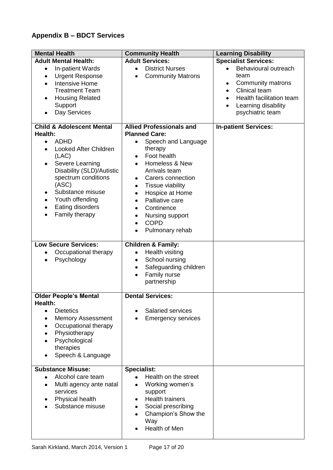# <span id="page-16-0"></span>**Appendix B – BDCT Services**

| <b>Mental Health</b>                                                                                                                                                                                                                           | <b>Community Health</b>                                                                                                                                                                                                                                   | <b>Learning Disability</b>                                                                                                                                 |
|------------------------------------------------------------------------------------------------------------------------------------------------------------------------------------------------------------------------------------------------|-----------------------------------------------------------------------------------------------------------------------------------------------------------------------------------------------------------------------------------------------------------|------------------------------------------------------------------------------------------------------------------------------------------------------------|
| <b>Adult Mental Health:</b>                                                                                                                                                                                                                    | <b>Adult Services:</b>                                                                                                                                                                                                                                    | <b>Specialist Services:</b>                                                                                                                                |
| In-patient Wards<br>$\bullet$<br><b>Urgent Response</b><br>$\bullet$<br><b>Intensive Home</b><br>$\bullet$<br><b>Treatment Team</b><br><b>Housing Related</b><br>Support<br>Day Services                                                       | <b>District Nurses</b><br>$\bullet$<br><b>Community Matrons</b>                                                                                                                                                                                           | Behavioural outreach<br>team<br>Community matrons<br>٠<br><b>Clinical team</b><br>٠<br>Health facilitation team<br>Learning disability<br>psychiatric team |
| <b>Child &amp; Adolescent Mental</b>                                                                                                                                                                                                           | <b>Allied Professionals and</b>                                                                                                                                                                                                                           | <b>In-patient Services:</b>                                                                                                                                |
| Health:                                                                                                                                                                                                                                        | <b>Planned Care:</b>                                                                                                                                                                                                                                      |                                                                                                                                                            |
| <b>ADHD</b><br>$\bullet$<br>Looked After Children<br>(LAC)<br>Severe Learning<br>Disability (SLD)/Autistic<br>spectrum conditions<br>(ASC)<br>Substance misuse<br>٠<br>Youth offending<br>٠<br>Eating disorders<br>$\bullet$<br>Family therapy | Speech and Language<br>$\bullet$<br>therapy<br>Foot health<br>Homeless & New<br>Arrivals team<br>Carers connection<br>٠<br>Tissue viability<br>٠<br>Hospice at Home<br>Palliative care<br>Continence<br>Nursing support<br><b>COPD</b><br>Pulmonary rehab |                                                                                                                                                            |
| <b>Low Secure Services:</b>                                                                                                                                                                                                                    | <b>Children &amp; Family:</b>                                                                                                                                                                                                                             |                                                                                                                                                            |
| Occupational therapy<br>Psychology<br>$\bullet$                                                                                                                                                                                                | Health visiting<br>School nursing<br>Safeguarding children<br>Family nurse<br>partnership                                                                                                                                                                 |                                                                                                                                                            |
| <b>Older People's Mental</b>                                                                                                                                                                                                                   | <b>Dental Services:</b>                                                                                                                                                                                                                                   |                                                                                                                                                            |
| Health:<br><b>Dietetics</b><br><b>Memory Assessment</b><br>Occupational therapy<br>Physiotherapy<br>Psychological<br>therapies<br>Speech & Language                                                                                            | <b>Salaried services</b><br><b>Emergency services</b>                                                                                                                                                                                                     |                                                                                                                                                            |
| <b>Substance Misuse:</b>                                                                                                                                                                                                                       | <b>Specialist:</b>                                                                                                                                                                                                                                        |                                                                                                                                                            |
| Alcohol care team<br>Multi agency ante natal<br>services<br>Physical health<br>Substance misuse                                                                                                                                                | Health on the street<br>Working women's<br>support<br><b>Health trainers</b><br>Social prescribing<br>Champion's Show the<br>Way<br>Health of Men                                                                                                         |                                                                                                                                                            |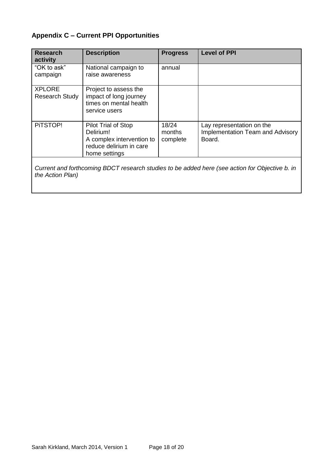# <span id="page-17-0"></span>**Appendix C – Current PPI Opportunities**

| <b>Research</b><br>activity            | <b>Description</b>                                                                                        | <b>Progress</b>             | <b>Level of PPI</b>                                                            |
|----------------------------------------|-----------------------------------------------------------------------------------------------------------|-----------------------------|--------------------------------------------------------------------------------|
| "OK to ask"<br>campaign                | National campaign to<br>raise awareness                                                                   | annual                      |                                                                                |
| <b>XPLORE</b><br><b>Research Study</b> | Project to assess the<br>impact of long journey<br>times on mental health<br>service users                |                             |                                                                                |
| PITSTOP!                               | Pilot Trial of Stop<br>Delirium!<br>A complex intervention to<br>reduce delirium in care<br>home settings | 18/24<br>months<br>complete | Lay representation on the<br><b>Implementation Team and Advisory</b><br>Board. |

*Current and forthcoming BDCT research studies to be added here (see action for Objective b. in the Action Plan)*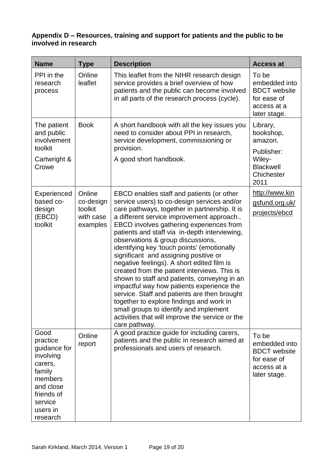# <span id="page-18-0"></span>**Appendix D – Resources, training and support for patients and the public to be involved in research**

| <b>Name</b>                                                                                                                                 | <b>Type</b>                                             | <b>Description</b>                                                                                                                                                                                                                                                                                                                                                                                                                                                                                                                                                                                                                                                                                                                                                                                                   | <b>Access at</b>                                                                            |
|---------------------------------------------------------------------------------------------------------------------------------------------|---------------------------------------------------------|----------------------------------------------------------------------------------------------------------------------------------------------------------------------------------------------------------------------------------------------------------------------------------------------------------------------------------------------------------------------------------------------------------------------------------------------------------------------------------------------------------------------------------------------------------------------------------------------------------------------------------------------------------------------------------------------------------------------------------------------------------------------------------------------------------------------|---------------------------------------------------------------------------------------------|
| PPI in the<br>research<br>process                                                                                                           | Online<br>leaflet                                       | This leaflet from the NIHR research design<br>service provides a brief overview of how<br>patients and the public can become involved<br>in all parts of the research process (cycle).                                                                                                                                                                                                                                                                                                                                                                                                                                                                                                                                                                                                                               | To be<br>embedded into<br><b>BDCT</b> website<br>for ease of<br>access at a<br>later stage. |
| The patient<br>and public<br>involvement                                                                                                    | <b>Book</b>                                             | A short handbook with all the key issues you<br>need to consider about PPI in research,<br>service development, commissioning or                                                                                                                                                                                                                                                                                                                                                                                                                                                                                                                                                                                                                                                                                     | Library,<br>bookshop,<br>amazon.                                                            |
| toolkit<br>Cartwright &<br>Crowe                                                                                                            |                                                         | provision.<br>A good short handbook.                                                                                                                                                                                                                                                                                                                                                                                                                                                                                                                                                                                                                                                                                                                                                                                 | Publisher:<br>Wiley-<br><b>Blackwell</b><br>Chichester<br>2011                              |
| Experienced<br>based co-<br>design<br>(EBCD)<br>toolkit                                                                                     | Online<br>co-design<br>toolkit<br>with case<br>examples | EBCD enables staff and patients (or other<br>service users) to co-design services and/or<br>care pathways, together in partnership. It is<br>a different service improvement approach<br>EBCD involves gathering experiences from<br>patients and staff via in-depth interviewing,<br>observations & group discussions,<br>identifying key 'touch points' (emotionally<br>significant and assigning positive or<br>negative feelings). A short edited film is<br>created from the patient interviews. This is<br>shown to staff and patients, conveying in an<br>impactful way how patients experience the<br>service. Staff and patients are then brought<br>together to explore findings and work in<br>small groups to identify and implement<br>activities that will improve the service or the<br>care pathway. | http://www.kin<br>gsfund.org.uk/<br>projects/ebcd                                           |
| Good<br>practice<br>guidance for<br>involving<br>carers,<br>family<br>members<br>and close<br>friends of<br>service<br>users in<br>research | Online<br>report                                        | A good practice guide for including carers,<br>patients and the public in research aimed at<br>professionals and users of research.                                                                                                                                                                                                                                                                                                                                                                                                                                                                                                                                                                                                                                                                                  | To be<br>embedded into<br><b>BDCT</b> website<br>for ease of<br>access at a<br>later stage. |